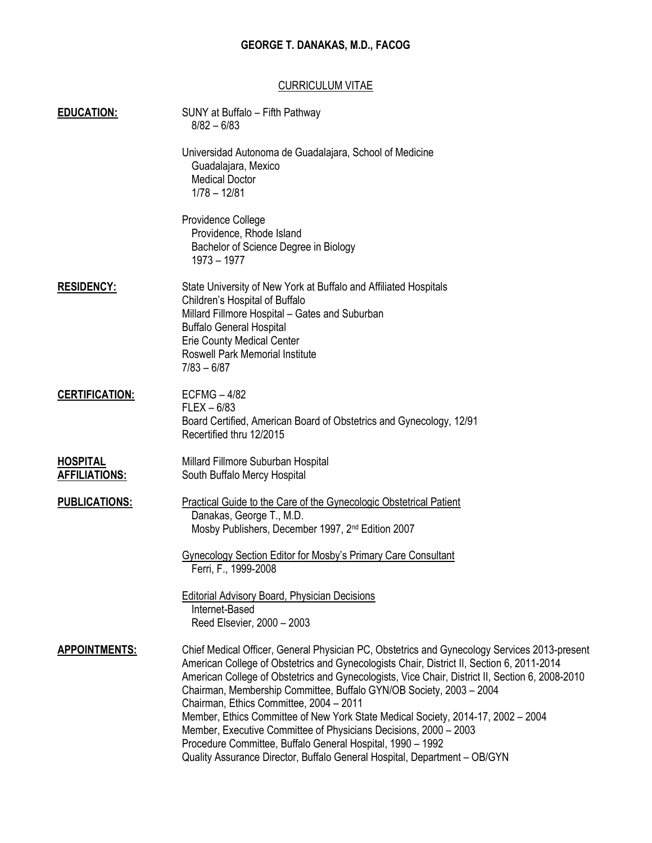## GEORGE T. DANAKAS, M.D., FACOG

### CURRICULUM VITAE

| <b>EDUCATION:</b>                       | SUNY at Buffalo - Fifth Pathway<br>$8/82 - 6/83$                                                                                                                                                                                                                                                                                                                                                                                                                                                                                                                                                                                                                                                                  |
|-----------------------------------------|-------------------------------------------------------------------------------------------------------------------------------------------------------------------------------------------------------------------------------------------------------------------------------------------------------------------------------------------------------------------------------------------------------------------------------------------------------------------------------------------------------------------------------------------------------------------------------------------------------------------------------------------------------------------------------------------------------------------|
|                                         | Universidad Autonoma de Guadalajara, School of Medicine<br>Guadalajara, Mexico<br><b>Medical Doctor</b><br>$1/78 - 12/81$                                                                                                                                                                                                                                                                                                                                                                                                                                                                                                                                                                                         |
|                                         | Providence College<br>Providence, Rhode Island<br>Bachelor of Science Degree in Biology<br>1973 - 1977                                                                                                                                                                                                                                                                                                                                                                                                                                                                                                                                                                                                            |
| <b>RESIDENCY:</b>                       | State University of New York at Buffalo and Affiliated Hospitals<br>Children's Hospital of Buffalo<br>Millard Fillmore Hospital - Gates and Suburban<br><b>Buffalo General Hospital</b><br><b>Erie County Medical Center</b><br><b>Roswell Park Memorial Institute</b><br>$7/83 - 6/87$                                                                                                                                                                                                                                                                                                                                                                                                                           |
| <b>CERTIFICATION:</b>                   | $ECFMG - 4/82$<br>$FLEX - 6/83$<br>Board Certified, American Board of Obstetrics and Gynecology, 12/91<br>Recertified thru 12/2015                                                                                                                                                                                                                                                                                                                                                                                                                                                                                                                                                                                |
| <b>HOSPITAL</b><br><b>AFFILIATIONS:</b> | Millard Fillmore Suburban Hospital<br>South Buffalo Mercy Hospital                                                                                                                                                                                                                                                                                                                                                                                                                                                                                                                                                                                                                                                |
| <b>PUBLICATIONS:</b>                    | <b>Practical Guide to the Care of the Gynecologic Obstetrical Patient</b><br>Danakas, George T., M.D.<br>Mosby Publishers, December 1997, 2 <sup>nd</sup> Edition 2007                                                                                                                                                                                                                                                                                                                                                                                                                                                                                                                                            |
|                                         | Gynecology Section Editor for Mosby's Primary Care Consultant<br>Ferri, F., 1999-2008                                                                                                                                                                                                                                                                                                                                                                                                                                                                                                                                                                                                                             |
|                                         | <b>Editorial Advisory Board, Physician Decisions</b><br>Internet-Based<br>Reed Elsevier, 2000 - 2003                                                                                                                                                                                                                                                                                                                                                                                                                                                                                                                                                                                                              |
| <b>APPOINTMENTS:</b>                    | Chief Medical Officer, General Physician PC, Obstetrics and Gynecology Services 2013-present<br>American College of Obstetrics and Gynecologists Chair, District II, Section 6, 2011-2014<br>American College of Obstetrics and Gynecologists, Vice Chair, District II, Section 6, 2008-2010<br>Chairman, Membership Committee, Buffalo GYN/OB Society, 2003 - 2004<br>Chairman, Ethics Committee, 2004 - 2011<br>Member, Ethics Committee of New York State Medical Society, 2014-17, 2002 - 2004<br>Member, Executive Committee of Physicians Decisions, 2000 - 2003<br>Procedure Committee, Buffalo General Hospital, 1990 - 1992<br>Quality Assurance Director, Buffalo General Hospital, Department - OB/GYN |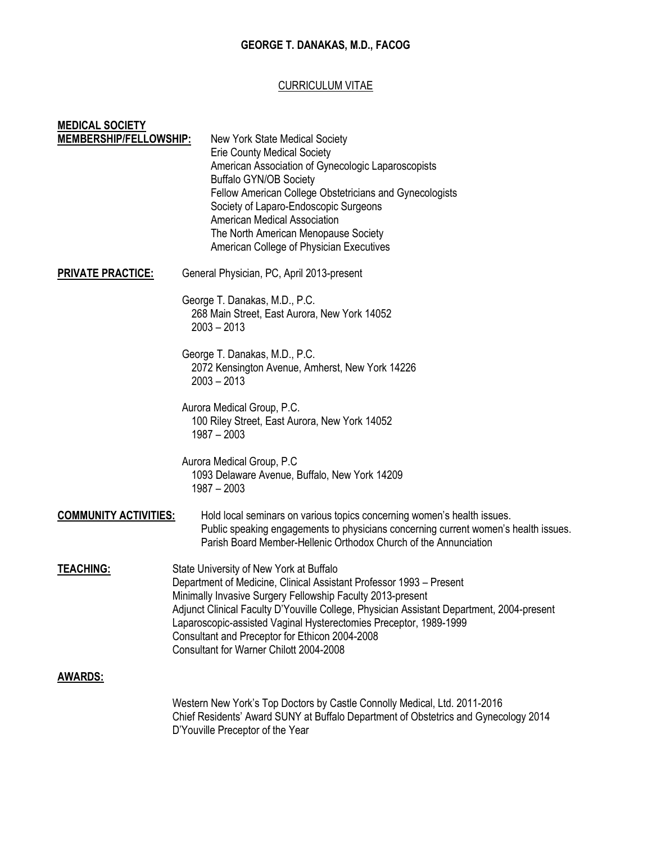## GEORGE T. DANAKAS, M.D., FACOG

### CURRICULUM VITAE

| <b>MEDICAL SOCIETY</b>        |                                                                                           |
|-------------------------------|-------------------------------------------------------------------------------------------|
| <b>MEMBERSHIP/FELLOWSHIP:</b> | New York State Medical Society                                                            |
|                               | <b>Erie County Medical Society</b>                                                        |
|                               | American Association of Gynecologic Laparoscopists                                        |
|                               | <b>Buffalo GYN/OB Society</b>                                                             |
|                               | Fellow American College Obstetricians and Gynecologists                                   |
|                               | Society of Laparo-Endoscopic Surgeons                                                     |
|                               | <b>American Medical Association</b>                                                       |
|                               | The North American Menopause Society                                                      |
|                               | American College of Physician Executives                                                  |
| <b>PRIVATE PRACTICE:</b>      | General Physician, PC, April 2013-present                                                 |
|                               | George T. Danakas, M.D., P.C.                                                             |
|                               | 268 Main Street, East Aurora, New York 14052                                              |
|                               | $2003 - 2013$                                                                             |
|                               | George T. Danakas, M.D., P.C.                                                             |
|                               | 2072 Kensington Avenue, Amherst, New York 14226                                           |
|                               | $2003 - 2013$                                                                             |
|                               |                                                                                           |
|                               | Aurora Medical Group, P.C.                                                                |
|                               | 100 Riley Street, East Aurora, New York 14052                                             |
|                               | $1987 - 2003$                                                                             |
|                               | Aurora Medical Group, P.C                                                                 |
|                               | 1093 Delaware Avenue, Buffalo, New York 14209                                             |
|                               | $1987 - 2003$                                                                             |
|                               |                                                                                           |
| <b>COMMUNITY ACTIVITIES:</b>  | Hold local seminars on various topics concerning women's health issues.                   |
|                               | Public speaking engagements to physicians concerning current women's health issues.       |
|                               | Parish Board Member-Hellenic Orthodox Church of the Annunciation                          |
| <b>TEACHING:</b>              | State University of New York at Buffalo                                                   |
|                               | Department of Medicine, Clinical Assistant Professor 1993 – Present                       |
|                               | Minimally Invasive Surgery Fellowship Faculty 2013-present                                |
|                               | Adjunct Clinical Faculty D'Youville College, Physician Assistant Department, 2004-present |
|                               | Laparoscopic-assisted Vaginal Hysterectomies Preceptor, 1989-1999                         |
|                               | Consultant and Preceptor for Ethicon 2004-2008                                            |
|                               | Consultant for Warner Chilott 2004-2008                                                   |
| <b>AWARDS:</b>                |                                                                                           |
|                               | Western New York's Top Doctors by Castle Connolly Medical, Ltd. 2011-2016                 |
|                               | Chief Residents' Award SUNY at Buffalo Department of Obstetrics and Gynecology 2014       |
|                               | D'Youville Preceptor of the Year                                                          |